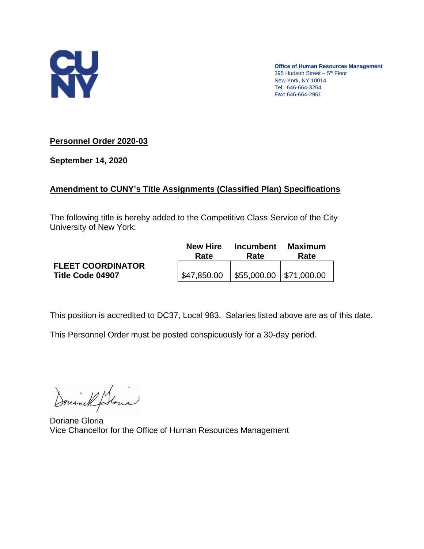

**Office of Human Resources Management** 395 Hudson Street - 5<sup>th</sup> Floor New York, NY 10014 Tel: 646-664-3254 Fax: 646-664-2961

# **Personnel Order 2020-03**

**September 14, 2020**

# **Amendment to CUNY's Title Assignments (Classified Plan) Specifications**

The following title is hereby added to the Competitive Class Service of the City University of New York:

|                                              | <b>New Hire</b>                                             | <b>Incumbent</b> | <b>Maximum</b> |
|----------------------------------------------|-------------------------------------------------------------|------------------|----------------|
|                                              | Rate                                                        | Rate             | Rate           |
| <b>FLEET COORDINATOR</b><br>Title Code 04907 | $\vert$ \$47,850.00 $\vert$ \$55,000.00 $\vert$ \$71,000.00 |                  |                |

This position is accredited to DC37, Local 983. Salaries listed above are as of this date.

This Personnel Order must be posted conspicuously for a 30-day period.

Donanel Stonia

Doriane Gloria Vice Chancellor for the Office of Human Resources Management